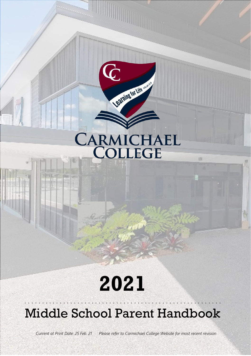# CARMICHAEL

顶

Learning for Life

 $\bf G$ 

# **2021**

# Middle School Parent Handbook

. . . . . . . . . . . . . . . . . . . . . . . . . . . . . . . . . . . . . . . . . . . . . . . . . . . . . . . .

*Current at Print Date: 25 Feb. 21 Please refer to Carmichael College Website for most recent revision*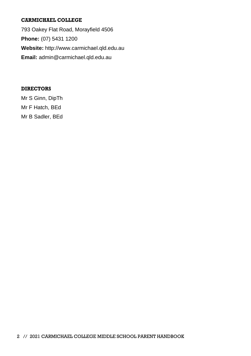#### **CARMICHAEL COLLEGE**

793 Oakey Flat Road, Morayfield 4506 **Phone:** (07) 5431 1200 **Website:** http://www.carmichael.qld.edu.au **Email:** admin@carmichael.qld.edu.au

#### **DIRECTORS**

Mr S Ginn, DipTh Mr F Hatch, BEd Mr B Sadler, BEd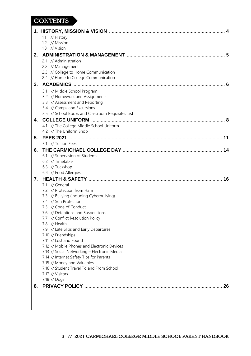#### **CONTENTS**

|    | 1.1 // History                                              |
|----|-------------------------------------------------------------|
|    | 1.2 // Mission                                              |
|    | 1.3 // Vision                                               |
| 2. |                                                             |
|    | 2.1 // Administration                                       |
|    | 2.2 // Management                                           |
|    | 2.3 // College to Home Communication                        |
|    | 2.4 // Home to College Communication                        |
| 3. |                                                             |
|    | 3.1 // Middle School Program                                |
|    | 3.2 // Homework and Assignments                             |
|    | 3.3 // Assessment and Reporting                             |
|    | 3.4 // Camps and Excursions                                 |
|    | 3.5 // School Books and Classroom Requisites List           |
| 4. |                                                             |
|    | 4.1 // The College Middle School Uniform                    |
|    | 4.2 // The Uniform Shop                                     |
| 5. |                                                             |
|    | 5.1 // Tuition Fees                                         |
| 6. |                                                             |
|    | 6.1 // Supervision of Students                              |
|    | 6.2 // Timetable                                            |
|    | 6.3 // Tuckshop                                             |
|    | 6.4 // Food Allergies                                       |
| 7. |                                                             |
|    | 7.1 // General                                              |
|    | 7.2 // Protection from Harm                                 |
|    | 7.3 // Bullying (Including Cyberbullying)                   |
|    | 7.4 // Sun Protection                                       |
|    | 7.5 // Code of Conduct<br>7.6 // Detentions and Suspensions |
|    | 7.7 // Conflict Resolution Policy                           |
|    | 7.8 // Health                                               |
|    | 7.9 // Late Slips and Early Departures                      |
|    | 7.10 // Friendships                                         |
|    | 7.11 // Lost and Found                                      |
|    | 7.12 // Mobile Phones and Electronic Devices                |
|    | 7.13 // Social Networking - Electronic Media                |
|    | 7.14 // Internet Safety Tips for Parents                    |
|    | 7.15 // Money and Valuables                                 |
|    | 7.16 // Student Travel To and From School                   |
|    | 7.17 // Visitors                                            |
|    | 7.18 // Dogs                                                |
| 8. | 26                                                          |
|    |                                                             |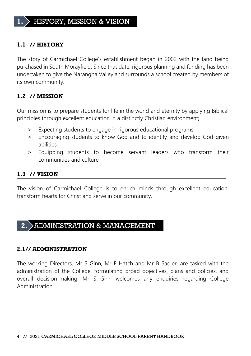#### **1.1 // HISTORY**

The story of Carmichael College's establishment began in 2002 with the land being purchased in South Morayfield. Since that date, rigorous planning and funding has been undertaken to give the Narangba Valley and surrounds a school created by members of its own community.

#### **1.2 // MISSION**

Our mission is to prepare students for life in the world and eternity by applying Biblical principles through excellent education in a distinctly Christian environment;

- > Expecting students to engage in rigorous educational programs
- > Encouraging students to know God and to identify and develop God-given abilities
- > Equipping students to become servant leaders who transform their communities and culture

#### **1.3 // VISION**

The vision of Carmichael College is to enrich minds through excellent education, transform hearts for Christ and serve in our community.

#### **2.** ADMINISTRATION & MANAGEMENT

#### **2.1// ADMINISTRATION**

The working Directors, Mr S Ginn, Mr F Hatch and Mr B Sadler, are tasked with the administration of the College, formulating broad objectives, plans and policies, and overall decision-making. Mr S Ginn welcomes any enquiries regarding College Administration.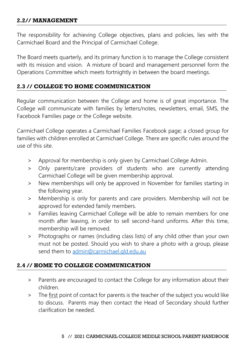#### **2.2// MANAGEMENT**

The responsibility for achieving College objectives, plans and policies, lies with the Carmichael Board and the Principal of Carmichael College.

The Board meets quarterly, and its primary function is to manage the College consistent with its mission and vision. A mixture of board and management personnel form the Operations Committee which meets fortnightly in between the board meetings.

#### **2.3 // COLLEGE TO HOME COMMUNICATION**

Regular communication between the College and home is of great importance. The College will communicate with families by letters/notes, newsletters, email, SMS, the Facebook Families page or the College website.

Carmichael College operates a Carmichael Families Facebook page; a closed group for families with children enrolled at Carmichael College. There are specific rules around the use of this site.

- Approval for membership is only given by Carmichael College Admin.
- > Only parents/care providers of students who are currently attending Carmichael College will be given membership approval.
- > New memberships will only be approved in November for families starting in the following year.
- > Membership is only for parents and care providers. Membership will not be approved for extended family members.
- > Families leaving Carmichael College will be able to remain members for one month after leaving, in order to sell second-hand uniforms. After this time, membership will be removed.
- > Photographs or names (including class lists) of any child other than your own must not be posted. Should you wish to share a photo with a group, please send them to [admin@carmichael.qld.edu.au](mailto:admin@carmichael.qld.edu.au)

#### **2.4 // HOME TO COLLEGE COMMUNICATION**

- > Parents are encouraged to contact the College for any information about their children.
- > The first point of contact for parents is the teacher of the subject you would like to discuss. Parents may then contact the Head of Secondary should further clarification be needed.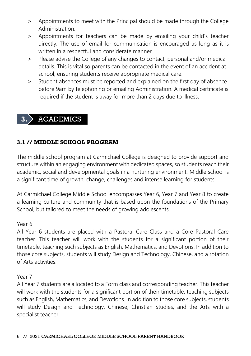- > Appointments to meet with the Principal should be made through the College Administration.
- > Appointments for teachers can be made by emailing your child's teacher directly. The use of email for communication is encouraged as long as it is written in a respectful and considerate manner.
- > Please advise the College of any changes to contact, personal and/or medical details. This is vital so parents can be contacted in the event of an accident at school, ensuring students receive appropriate medical care.
- > Student absences must be reported and explained on the first day of absence before 9am by telephoning or emailing Administration. A medical certificate is required if the student is away for more than 2 days due to illness.

# **3.** ACADEMICS

#### **3.1 // MIDDLE SCHOOL PROGRAM**

The middle school program at Carmichael College is designed to provide support and structure within an engaging environment with dedicated spaces, so students reach their academic, social and developmental goals in a nurturing environment. Middle school is a significant time of growth, change, challenges and intense learning for students.

At Carmichael College Middle School encompasses Year 6, Year 7 and Year 8 to create a learning culture and community that is based upon the foundations of the Primary School, but tailored to meet the needs of growing adolescents.

#### Year 6

All Year 6 students are placed with a Pastoral Care Class and a Core Pastoral Care teacher. This teacher will work with the students for a significant portion of their timetable, teaching such subjects as English, Mathematics, and Devotions. In addition to those core subjects, students will study Design and Technology, Chinese, and a rotation of Arts activities.

#### Year 7

All Year 7 students are allocated to a Form class and corresponding teacher. This teacher will work with the students for a significant portion of their timetable, teaching subjects such as English, Mathematics, and Devotions. In addition to those core subjects, students will study Design and Technology, Chinese, Christian Studies, and the Arts with a specialist teacher.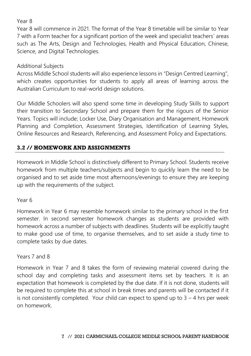#### Year 8

Year 8 will commence in 2021. The format of the Year 8 timetable will be similar to Year 7 with a Form teacher for a significant portion of the week and specialist teachers' areas such as The Arts, Design and Technologies, Health and Physical Education, Chinese, Science, and Digital Technologies.

#### Additional Subjects

Across Middle School students will also experience lessons in "Design Centred Learning", which creates opportunities for students to apply all areas of learning across the Australian Curriculum to real-world design solutions.

Our Middle Schoolers will also spend some time in developing Study Skills to support their transition to Secondary School and prepare them for the rigours of the Senior Years. Topics will include; Locker Use, Diary Organisation and Management, Homework Planning and Completion, Assessment Strategies, Identification of Learning Styles, Online Resources and Research, Referencing, and Assessment Policy and Expectations.

#### **3.2 // HOMEWORK AND ASSIGNMENTS**

Homework in Middle School is distinctively different to Primary School. Students receive homework from multiple teachers/subjects and begin to quickly learn the need to be organised and to set aside time most afternoons/evenings to ensure they are keeping up with the requirements of the subject.

#### Year 6

Homework in Year 6 may resemble homework similar to the primary school in the first semester. In second semester homework changes as students are provided with homework across a number of subjects with deadlines. Students will be explicitly taught to make good use of time, to organise themselves, and to set aside a study time to complete tasks by due dates.

#### Years 7 and 8

Homework in Year 7 and 8 takes the form of reviewing material covered during the school day and completing tasks and assessment items set by teachers. It is an expectation that homework is completed by the due date. If it is not done, students will be required to complete this at school in break times and parents will be contacted if it is not consistently completed. Your child can expect to spend up to  $3 - 4$  hrs per week on homework.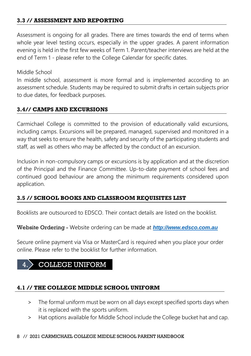#### **3.3 // ASSESSMENT AND REPORTING**

Assessment is ongoing for all grades. There are times towards the end of terms when whole year level testing occurs, especially in the upper grades. A parent information evening is held in the first few weeks of Term 1. Parent/teacher interviews are held at the end of Term 1 - please refer to the College Calendar for specific dates.

Middle School

In middle school, assessment is more formal and is implemented according to an assessment schedule. Students may be required to submit drafts in certain subjects prior to due dates, for feedback purposes.

#### **3.4// CAMPS AND EXCURSIONS**

Carmichael College is committed to the provision of educationally valid excursions, including camps. Excursions will be prepared, managed, supervised and monitored in a way that seeks to ensure the health, safety and security of the participating students and staff, as well as others who may be affected by the conduct of an excursion.

Inclusion in non-compulsory camps or excursions is by application and at the discretion of the Principal and the Finance Committee. Up-to-date payment of school fees and continued good behaviour are among the minimum requirements considered upon application.

#### **3.5 // SCHOOL BOOKS AND CLASSROOM REQUISITES LIST**

Booklists are outsourced to EDSCO. Their contact details are listed on the booklist.

Website Ordering - Website ordering can be made at *[http://www.edsco.com.au](http://www.edsco.com.au/)*

Secure online payment via Visa or MasterCard is required when you place your order online. Please refer to the booklist for further information.

# **OLLEGE UNIFORM**

#### **4.1 // THE COLLEGE MIDDLE SCHOOL UNIFORM**

- > The formal uniform must be worn on all days except specified sports days when it is replaced with the sports uniform.
- > Hat options available for Middle School include the College bucket hat and cap.

#### 8 // 2021 CARMICHAEL COLLEGE MIDDLE SCHOOL PARENT HANDBOOK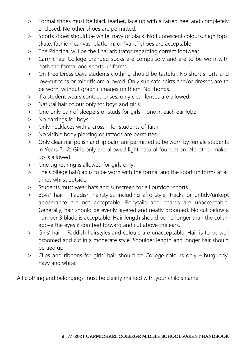- > Formal shoes must be black leather, lace up with a raised heel and completely enclosed. No other shoes are permitted.
- > Sports shoes should be white, navy or black. No fluorescent colours, high tops, skate, fashion, canvas, platform, or "vans" shoes are acceptable.
- > The Principal will be the final arbitrator regarding correct footwear.
- > Carmichael College branded socks are compulsory and are to be worn with both the formal and sports uniforms.
- > On Free Dress Days students clothing should be tasteful. No short shorts and low-cut tops or midriffs are allowed. Only sun safe shirts and/or dresses are to be worn, without graphic images on them. No thongs.
- > If a student wears contact lenses, only clear lenses are allowed.
- > Natural hair colour only for boys and girls.
- > One only pair of sleepers or studs for girls one in each ear lobe.
- > No earrings for boys.
- > Only necklaces with a cross for students of faith.
- > No visible body piercing or tattoos are permitted.
- > Only clear nail polish and lip balm are permitted to be worn by female students in Years 7-12. Girls only are allowed light natural foundation. No other makeup is allowed.
- > One signet ring is allowed for girls only.
- > The College hat/cap is to be worn with the formal and the sport uniforms at all times whilst outside.
- > Students must wear hats and sunscreen for all outdoor sports
- > Boys' hair Faddish hairstyles including afro-style, tracks or untidy/unkept appearance are not acceptable. Ponytails and beards are unacceptable. Generally, hair should be evenly layered and neatly groomed. No cut below a number 3 blade is acceptable. Hair length should be no longer than the collar, above the eyes if combed forward and cut above the ears.
- > Girls' hair Faddish hairstyles and colours are unacceptable. Hair is to be well groomed and cut in a moderate style. Shoulder length and longer hair should be tied up.
- > Clips and ribbons for girls' hair should be College colours only burgundy, navy and white.

All clothing and belongings must be clearly marked with your child's name.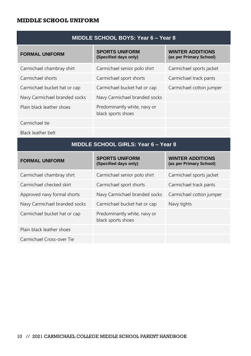#### **MIDDLE SCHOOL UNIFORM**

| <b>FORMAL UNIFORM</b>         | <b>SPORTS UNIFORM</b><br>(Specified days only)     | <b>WINTER ADDITIONS</b><br>(as per Primary School) |
|-------------------------------|----------------------------------------------------|----------------------------------------------------|
| Carmichael chambray shirt     | Carmichael senior polo shirt                       | Carmichael sports jacket                           |
| Carmichael shorts             | Carmichael sport shorts                            | Carmichael track pants                             |
| Carmichael bucket hat or cap  | Carmichael bucket hat or cap                       | Carmichael cotton jumper                           |
| Navy Carmichael branded socks | Navy Carmichael branded socks                      |                                                    |
| Plain black leather shoes     | Predominantly white, navy or<br>black sports shoes |                                                    |
| Carmichael tie                |                                                    |                                                    |

Black leather belt

#### **MIDDLE SCHOOL GIRLS: Year 6 – Year 8**

| <b>FORMAL UNIFORM</b>         | <b>SPORTS UNIFORM</b><br>(Specified days only)     | <b>WINTER ADDITIONS</b><br>(as per Primary School) |
|-------------------------------|----------------------------------------------------|----------------------------------------------------|
| Carmichael chambray shirt     | Carmichael senior polo shirt                       | Carmichael sports jacket                           |
| Carmichael checked skirt      | Carmichael sport shorts                            | Carmichael track pants                             |
| Approved navy formal shorts   | Navy Carmichael branded socks                      | Carmichael cotton jumper                           |
| Navy Carmichael branded socks | Carmichael bucket hat or cap                       | Navy tights                                        |
| Carmichael bucket hat or cap  | Predominantly white, navy or<br>black sports shoes |                                                    |
| Plain black leather shoes     |                                                    |                                                    |
| Carmichael Cross-over Tie     |                                                    |                                                    |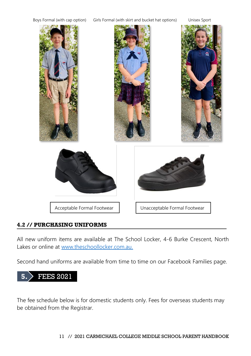

#### **4.2 // PURCHASING UNIFORMS**

All new uniform items are available at The School Locker, 4-6 Burke Crescent, North Lakes or online at [www.theschoollocker.com.au.](https://www.theschoollocker.com.au/)

Second hand uniforms are available from time to time on our Facebook Families page.



The fee schedule below is for domestic students only. Fees for overseas students may be obtained from the Registrar.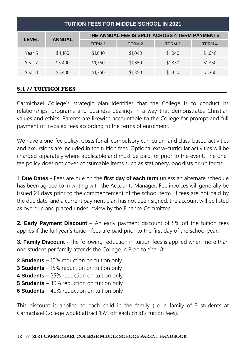| <b>TUITION FEES FOR MIDDLE SCHOOL IN 2021</b> |               |                                                |                   |                   |                   |
|-----------------------------------------------|---------------|------------------------------------------------|-------------------|-------------------|-------------------|
| <b>LEVEL</b>                                  | <b>ANNUAL</b> | THE ANNUAL FEE IS SPLIT ACROSS 4 TERM PAYMENTS |                   |                   |                   |
|                                               |               | <b>TERM1</b>                                   | TERM <sub>2</sub> | TERM <sub>3</sub> | TERM <sub>4</sub> |
| Year 6                                        | \$4,160       | \$1,040                                        | \$1,040           | \$1,040           | \$1,040           |
| Year 7                                        | \$5,400       | \$1,350                                        | \$1,350           | \$1,350           | \$1,350           |
| Year 8                                        | \$5,400       | \$1,350                                        | \$1,350           | \$1,350           | \$1,350           |

#### **5.1 // TUITION FEES**

Carmichael College's strategic plan identifies that the College is to conduct its relationships, programs and business dealings in a way that demonstrates Christian values and ethics. Parents are likewise accountable to the College for prompt and full payment of invoiced fees according to the terms of enrolment.

We have a one-fee policy. Costs for all compulsory curriculum and class-based activities and excursions are included in the tuition fees. Optional extra-curricular activities will be charged separately where applicable and must be paid for prior to the event. The onefee policy does not cover consumable items such as stationery, booklists or uniforms.

1. **Due Dates** - Fees are due on the **first day of each term** unless an alternate schedule has been agreed to in writing with the Accounts Manager. Fee invoices will generally be issued 21 days prior to the commencement of the school term. If fees are not paid by the due date, and a current payment plan has not been signed, the account will be listed as overdue and placed under review by the Finance Committee.

**2. Early Payment Discount** – An early payment discount of 5% off the tuition fees applies if the full year's tuition fees are paid prior to the first day of the school year.

**3. Family Discount** - The following reduction in tuition fees is applied when more than one student per family attends the College in Prep to Year 8:

- **2 Students** 10% reduction on tuition only
- **3 Students** 15% reduction on tuition only
- **4 Students** 25% reduction on tuition only
- **5 Students** 30% reduction on tuition only
- **6 Students** 40% reduction on tuition only

This discount is applied to each child in the family (i.e. a family of 3 students at Carmichael College would attract 15% off each child's tuition fees).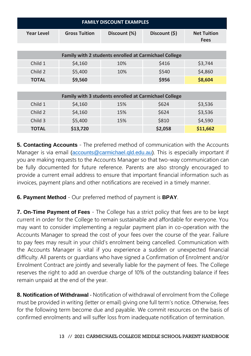| <b>FAMILY DISCOUNT EXAMPLES</b>                       |                      |              |               |                                   |  |  |
|-------------------------------------------------------|----------------------|--------------|---------------|-----------------------------------|--|--|
| <b>Year Level</b>                                     | <b>Gross Tuition</b> | Discount (%) | Discount (\$) | <b>Net Tuition</b><br><b>Fees</b> |  |  |
|                                                       |                      |              |               |                                   |  |  |
| Family with 2 students enrolled at Carmichael College |                      |              |               |                                   |  |  |
| Child 1                                               | \$4,160              | 10%          | \$416         | \$3,744                           |  |  |
| Child 2                                               | \$5,400              | 10%          | \$540         | \$4,860                           |  |  |
| <b>TOTAL</b>                                          | \$9,560              |              | \$956         | \$8,604                           |  |  |
|                                                       |                      |              |               |                                   |  |  |
| Family with 3 students enrolled at Carmichael College |                      |              |               |                                   |  |  |
| Child 1                                               | \$4,160              | 15%          | \$624         | \$3,536                           |  |  |
| Child 2                                               | \$4,160              | 15%          | \$624         | \$3,536                           |  |  |
| Child 3                                               | \$5,400              | 15%          | \$810         | \$4,590                           |  |  |
| TOTAL                                                 | \$13,720             |              | \$2,058       | \$11,662                          |  |  |

**5. Contacting Accounts** - The preferred method of communication with the Accounts Manager is via email [\(accounts@carmichael.qld.edu.au\)](mailto:accounts@carmichael.qld.edu.au). This is especially important if you are making requests to the Accounts Manager so that two-way communication can be fully documented for future reference. Parents are also strongly encouraged to provide a current email address to ensure that important financial information such as invoices, payment plans and other notifications are received in a timely manner.

**6. Payment Method** - Our preferred method of payment is **BPAY**.

**7. On-Time Payment of Fees** - The College has a strict policy that fees are to be kept current in order for the College to remain sustainable and affordable for everyone. You may want to consider implementing a regular payment plan in co-operation with the Accounts Manager to spread the cost of your fees over the course of the year. Failure to pay fees may result in your child's enrolment being cancelled. Communication with the Accounts Manager is vital if you experience a sudden or unexpected financial difficulty. All parents or guardians who have signed a Confirmation of Enrolment and/or Enrolment Contract are jointly and severally liable for the payment of fees. The College reserves the right to add an overdue charge of 10% of the outstanding balance if fees remain unpaid at the end of the year.

**8. Notification of Withdrawal** - Notification of withdrawal of enrolment from the College must be provided in writing (letter or email) giving one full term's notice. Otherwise, fees for the following term become due and payable. We commit resources on the basis of confirmed enrolments and will suffer loss from inadequate notification of termination.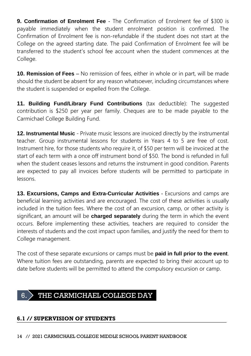**9. Confirmation of Enrolment Fee** - The Confirmation of Enrolment fee of \$300 is payable immediately when the student enrolment position is confirmed. The Confirmation of Enrolment fee is non-refundable if the student does not start at the College on the agreed starting date. The paid Confirmation of Enrolment fee will be transferred to the student's school fee account when the student commences at the College.

**10. Remission of Fees** – No remission of fees, either in whole or in part, will be made should the student be absent for any reason whatsoever, including circumstances where the student is suspended or expelled from the College.

**11. Building Fund/Library Fund Contributions** (tax deductible): The suggested contribution is \$250 per year per family. Cheques are to be made payable to the Carmichael College Building Fund.

**12. Instrumental Music** - Private music lessons are invoiced directly by the instrumental teacher. Group instrumental lessons for students in Years 4 to 5 are free of cost. Instrument hire, for those students who require it, of \$50 per term will be invoiced at the start of each term with a once off instrument bond of \$50. The bond is refunded in full when the student ceases lessons and returns the instrument in good condition. Parents are expected to pay all invoices before students will be permitted to participate in lessons.

**13. Excursions, Camps and Extra-Curricular Activities** - Excursions and camps are beneficial learning activities and are encouraged. The cost of these activities is usually included in the tuition fees. Where the cost of an excursion, camp, or other activity is significant, an amount will be **charged separately** during the term in which the event occurs. Before implementing these activities, teachers are required to consider the interests of students and the cost impact upon families, and justify the need for them to College management.

The cost of these separate excursions or camps must be **paid in full prior to the event**. Where tuition fees are outstanding, parents are expected to bring their account up to date before students will be permitted to attend the compulsory excursion or camp.

### 6. THE CARMICHAEL COLLEGE DAY

#### **6.1 // SUPERVISION OF STUDENTS**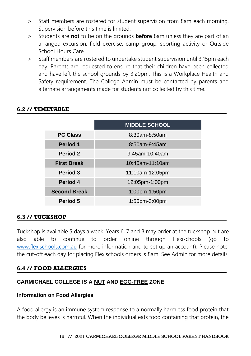- > Staff members are rostered for student supervision from 8am each morning. Supervision before this time is limited.
- > Students are **not** to be on the grounds **before** 8am unless they are part of an arranged excursion, field exercise, camp group, sporting activity or Outside School Hours Care.
- > Staff members are rostered to undertake student supervision until 3:15pm each day. Parents are requested to ensure that their children have been collected and have left the school grounds by 3:20pm. This is a Workplace Health and Safety requirement. The College Admin must be contacted by parents and alternate arrangements made for students not collected by this time.

|                     | <b>MIDDLE SCHOOL</b> |  |  |
|---------------------|----------------------|--|--|
| <b>PC Class</b>     | 8:30am-8:50am        |  |  |
| <b>Period 1</b>     | 8:50am-9:45am        |  |  |
| Period 2            | $9:45$ am-10:40am    |  |  |
| <b>First Break</b>  | 10:40am-11:10am      |  |  |
| Period 3            | 11:10am-12:05pm      |  |  |
| Period 4            | 12:05pm-1:00pm       |  |  |
| <b>Second Break</b> | 1:00pm-1:50pm        |  |  |
| Period 5            | 1:50pm-3:00pm        |  |  |

#### **6.2 // TIMETABLE**

#### **6.3 // TUCKSHOP**

Tuckshop is available 5 days a week. Years 6, 7 and 8 may order at the tuckshop but are also able to continue to order online through Flexischools (go to [www.flexischools.com.au](https://www.flexischools.com.au/) for more information and to set up an account). Please note, the cut-off each day for placing Flexischools orders is 8am. See Admin for more details.

#### **6.4 // FOOD ALLERGIES**

#### **CARMICHAEL COLLEGE IS A NUT AND EGG-FREE ZONE**

#### **Information on Food Allergies**

A food allergy is an immune system response to a normally harmless food protein that the body believes is harmful. When the individual eats food containing that protein, the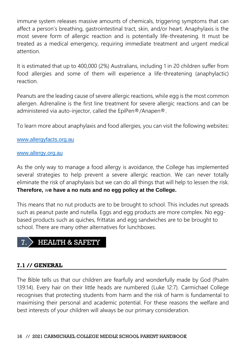immune system releases massive amounts of chemicals, triggering symptoms that can affect a person's breathing, gastrointestinal tract, skin, and/or heart. Anaphylaxis is the most severe form of allergic reaction and is potentially life-threatening. It must be treated as a medical emergency, requiring immediate treatment and urgent medical attention.

It is estimated that up to 400,000 (2%) Australians, including 1 in 20 children suffer from food allergies and some of them will experience a life-threatening (anaphylactic) reaction.

Peanuts are the leading cause of severe allergic reactions, while egg is the most common allergen. Adrenaline is the first line treatment for severe allergic reactions and can be administered via auto-injector, called the EpiPen®/Anapen®.

To learn more about anaphylaxis and food allergies, you can visit the following websites:

#### [www.allergyfacts.org.au](https://www.allergyfacts.org.au/)

#### [www.allergy.org.au](https://www.allergy.org.au/)

As the only way to manage a food allergy is avoidance, the College has implemented several strategies to help prevent a severe allergic reaction. We can never totally eliminate the risk of anaphylaxis but we can do all things that will help to lessen the risk. **Therefore,** w**e have a no nuts and no egg policy at the College.**

This means that no nut products are to be brought to school. This includes nut spreads such as peanut paste and nutella. Eggs and egg products are more complex. No eggbased products such as quiches, frittatas and egg sandwiches are to be brought to school. There are many other alternatives for lunchboxes.

# 7. HEALTH & SAFETY

#### **7.1 // GENERAL**

The Bible tells us that our children are fearfully and wonderfully made by God (Psalm 139:14). Every hair on their little heads are numbered (Luke 12:7). Carmichael College recognises that protecting students from harm and the risk of harm is fundamental to maximising their personal and academic potential. For these reasons the welfare and best interests of your children will always be our primary consideration.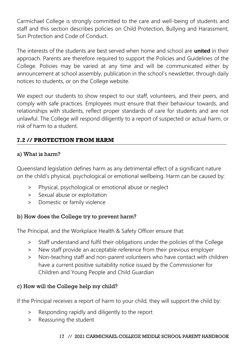Carmichael College is strongly committed to the care and well-being of students and staff and this section describes policies on Child Protection, Bullying and Harassment, Sun Protection and Code of Conduct.

The interests of the students are best served when home and school are **united** in their approach. Parents are therefore required to support the Policies and Guidelines of the College. Policies may be varied at any time and will be communicated either by announcement at school assembly, publication in the school's newsletter, through daily notices to students, or on the College website.

We expect our students to show respect to our staff, volunteers, and their peers, and comply with safe practices. Employees must ensure that their behaviour towards, and relationships with students, reflect proper standards of care for students and are not unlawful. The College will respond diligently to a report of suspected or actual harm, or risk of harm to a student.

#### **7.2 // PROTECTION FROM HARM**

#### a) What is harm?

Queensland legislation defines harm as any detrimental effect of a significant nature on the child's physical, psychological or emotional wellbeing. Harm can be caused by:

- > Physical, psychological or emotional abuse or neglect
- > Sexual abuse or exploitation
- > Domestic or family violence

#### b) How does the College try to prevent harm?

The Principal, and the Workplace Health & Safety Officer ensure that:

- > Staff understand and fulfil their obligations under the policies of the College
- > New staff provide an acceptable reference from their previous employer
- > Non-teaching staff and non-parent volunteers who have contact with children have a current positive suitability notice issued by the Commissioner for Children and Young People and Child Guardian

#### c) How will the College help my child?

If the Principal receives a report of harm to your child, they will support the child by:

- > Responding rapidly and diligently to the report
- > Reassuring the student

#### 17 // 2021 CARMICHAEL COLLEGE MIDDLE SCHOOL PARENT HANDBOOK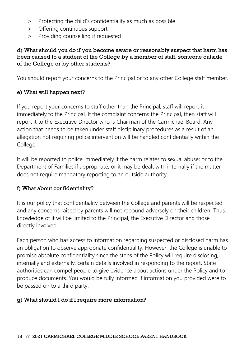- > Protecting the child's confidentiality as much as possible
- > Offering continuous support
- > Providing counselling if requested

#### d) What should you do if you become aware or reasonably suspect that harm has been caused to a student of the College by a member of staff, someone outside of the College or by other students?

You should report your concerns to the Principal or to any other College staff member.

#### e) What will happen next?

If you report your concerns to staff other than the Principal, staff will report it immediately to the Principal. If the complaint concerns the Principal, then staff will report it to the Executive Director who is Chairman of the Carmichael Board. Any action that needs to be taken under staff disciplinary procedures as a result of an allegation not requiring police intervention will be handled confidentially within the College.

It will be reported to police immediately if the harm relates to sexual abuse; or to the Department of Families if appropriate; or it may be dealt with internally if the matter does not require mandatory reporting to an outside authority.

#### f) What about confidentiality?

It is our policy that confidentiality between the College and parents will be respected and any concerns raised by parents will not rebound adversely on their children. Thus, knowledge of it will be limited to the Principal, the Executive Director and those directly involved.

Each person who has access to information regarding suspected or disclosed harm has an obligation to observe appropriate confidentiality. However, the College is unable to promise absolute confidentiality since the steps of the Policy will require disclosing, internally and externally, certain details involved in responding to the report. State authorities can compel people to give evidence about actions under the Policy and to produce documents. You would be fully informed if information you provided were to be passed on to a third party.

#### g) What should I do if I require more information?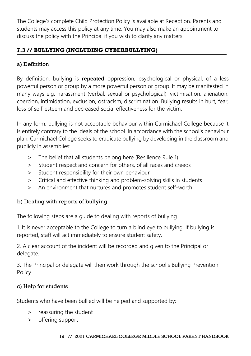The College's complete Child Protection Policy is available at Reception. Parents and students may access this policy at any time. You may also make an appointment to discuss the policy with the Principal if you wish to clarify any matters.

#### **7.3 // BULLYING (INCLUDING CYBERBULLYING)**

#### a) Definition

By definition, bullying is **repeated** oppression, psychological or physical, of a less powerful person or group by a more powerful person or group. It may be manifested in many ways e.g. harassment (verbal, sexual or psychological), victimisation, alienation, coercion, intimidation, exclusion, ostracism, discrimination. Bullying results in hurt, fear, loss of self-esteem and decreased social effectiveness for the victim.

In any form, bullying is not acceptable behaviour within Carmichael College because it is entirely contrary to the ideals of the school. In accordance with the school's behaviour plan, Carmichael College seeks to eradicate bullying by developing in the classroom and publicly in assemblies:

- > The belief that all students belong here (Resilience Rule 1)
- > Student respect and concern for others, of all races and creeds
- > Student responsibility for their own behaviour
- > Critical and effective thinking and problem-solving skills in students
- > An environment that nurtures and promotes student self-worth.

#### b) Dealing with reports of bullying

The following steps are a guide to dealing with reports of bullying.

1. It is never acceptable to the College to turn a blind eye to bullying. If bullying is reported, staff will act immediately to ensure student safety.

2. A clear account of the incident will be recorded and given to the Principal or delegate.

3. The Principal or delegate will then work through the school's Bullying Prevention Policy.

#### c) Help for students

Students who have been bullied will be helped and supported by:

- > reassuring the student
- > offering support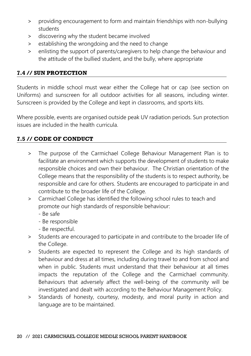- > providing encouragement to form and maintain friendships with non-bullying students
- > discovering why the student became involved
- > establishing the wrongdoing and the need to change
- > enlisting the support of parents/caregivers to help change the behaviour and the attitude of the bullied student, and the bully, where appropriate

#### **7.4 // SUN PROTECTION**

Students in middle school must wear either the College hat or cap (see section on Uniforms) and sunscreen for all outdoor activities for all seasons, including winter. Sunscreen is provided by the College and kept in classrooms, and sports kits.

Where possible, events are organised outside peak UV radiation periods. Sun protection issues are included in the health curricula.

#### **7.5 // CODE OF CONDUCT**

- > The purpose of the Carmichael College Behaviour Management Plan is to facilitate an environment which supports the development of students to make responsible choices and own their behaviour. The Christian orientation of the College means that the responsibility of the students is to respect authority, be responsible and care for others. Students are encouraged to participate in and contribute to the broader life of the College.
- > Carmichael College has identified the following school rules to teach and promote our high standards of responsible behaviour:
	- Be safe
	- Be responsible
	- Be respectful.
- > Students are encouraged to participate in and contribute to the broader life of the College.
- > Students are expected to represent the College and its high standards of behaviour and dress at all times, including during travel to and from school and when in public. Students must understand that their behaviour at all times impacts the reputation of the College and the Carmichael community. Behaviours that adversely affect the well-being of the community will be investigated and dealt with according to the Behaviour Management Policy.
- > Standards of honesty, courtesy, modesty, and moral purity in action and language are to be maintained.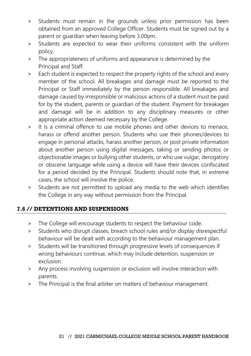- > Students must remain in the grounds unless prior permission has been obtained from an approved College Officer. Students must be signed out by a parent or guardian when leaving before 3.00pm.
- > Students are expected to wear their uniforms consistent with the uniform policy.
- > The appropriateness of uniforms and appearance is determined by the Principal and Staff.
- > Each student is expected to respect the property rights of the school and every member of the school. All breakages and damage must be reported to the Principal or Staff immediately by the person responsible. All breakages and damage caused by irresponsible or malicious actions of a student must be paid for by the student, parents or guardian of the student. Payment for breakages and damage will be in addition to any disciplinary measures or other appropriate action deemed necessary by the College.
- > It is a criminal offence to use mobile phones and other devices to menace, harass or offend another person. Students who use their phones/devices to engage in personal attacks, harass another person, or post private information about another person using digital messages, taking or sending photos or objectionable images or bullying other students, or who use vulgar, derogatory or obscene language while using a device will have their devices confiscated for a period decided by the Principal. Students should note that, in extreme cases, the school will involve the police.
- > Students are not permitted to upload any media to the web which identifies the College in any way without permission from the Principal.

#### **7.6 // DETENTIONS AND SUSPENSIONS**

- > The College will encourage students to respect the behaviour code.
- > Students who disrupt classes, breach school rules and/or display disrespectful behaviour will be dealt with according to the behaviour management plan.
- > Students will be transitioned through progressive levels of consequences if wrong behaviours continue, which may include detention, suspension or exclusion.
- > Any process involving suspension or exclusion will involve interaction with parents.
- > The Principal is the final arbiter on matters of behaviour management.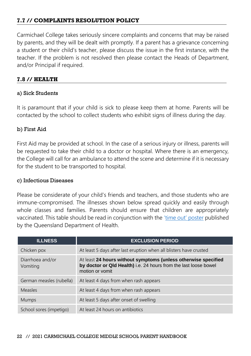#### **7.7 // COMPLAINTS RESOLUTION POLICY**

Carmichael College takes seriously sincere complaints and concerns that may be raised by parents, and they will be dealt with promptly. If a parent has a grievance concerning a student or their child's teacher, please discuss the issue in the first instance, with the teacher. If the problem is not resolved then please contact the Heads of Department, and/or Principal if required.

#### **7.8 // HEALTH**

#### a) Sick Students

It is paramount that if your child is sick to please keep them at home. Parents will be contacted by the school to collect students who exhibit signs of illness during the day.

#### b) First Aid

First Aid may be provided at school. In the case of a serious injury or illness, parents will be requested to take their child to a doctor or hospital. Where there is an emergency, the College will call for an ambulance to attend the scene and determine if it is necessary for the student to be transported to hospital.

#### c) Infectious Diseases

Please be considerate of your child's friends and teachers, and those students who are immune-compromised. The illnesses shown below spread quickly and easily through whole classes and families. Parents should ensure that children are appropriately vaccinated. This table should be read in conjunction with the ['time out' poster](https://www.health.qld.gov.au/__data/assets/pdf_file/0022/426820/timeout_poster.pdf) published by the Queensland Department of Health.

| <b>ILLNESS</b>               | <b>EXCLUSION PERIOD</b>                                                                                                                               |
|------------------------------|-------------------------------------------------------------------------------------------------------------------------------------------------------|
| Chicken pox                  | At least 5 days after last eruption when all blisters have crusted                                                                                    |
| Diarrhoea and/or<br>Vomiting | At least 24 hours without symptoms (unless otherwise specified<br>by doctor or Qld Health) i.e. 24 hours from the last loose bowel<br>motion or vomit |
| German measles (rubella)     | At least 4 days from when rash appears                                                                                                                |
| Measles                      | At least 4 days from when rash appears                                                                                                                |
| <b>Mumps</b>                 | At least 5 days after onset of swelling                                                                                                               |
| School sores (impetigo)      | At least 24 hours on antibiotics                                                                                                                      |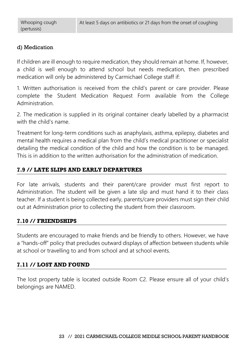#### d) Medication

If children are ill enough to require medication, they should remain at home. If, however, a child is well enough to attend school but needs medication, then prescribed medication will only be administered by Carmichael College staff if:

1. Written authorisation is received from the child's parent or care provider. Please complete the Student Medication Request Form available from the College Administration.

2. The medication is supplied in its original container clearly labelled by a pharmacist with the child's name.

Treatment for long-term conditions such as anaphylaxis, asthma, epilepsy, diabetes and mental health requires a medical plan from the child's medical practitioner or specialist detailing the medical condition of the child and how the condition is to be managed. This is in addition to the written authorisation for the administration of medication.

#### **7.9 // LATE SLIPS AND EARLY DEPARTURES**

For late arrivals, students and their parent/care provider must first report to Administration. The student will be given a late slip and must hand it to their class teacher. If a student is being collected early, parents/care providers must sign their child out at Administration prior to collecting the student from their classroom.

#### **7.10 // FRIENDSHIPS**

Students are encouraged to make friends and be friendly to others. However, we have a "hands-off" policy that precludes outward displays of affection between students while at school or travelling to and from school and at school events.

#### **7.11 // LOST AND FOUND**

The lost property table is located outside Room C2. Please ensure all of your child's belongings are NAMED.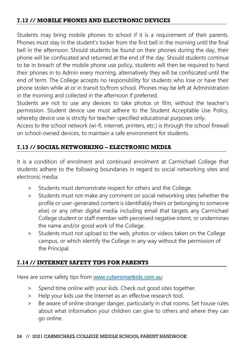#### **7.12 // MOBILE PHONES AND ELECTRONIC DEVICES**

Students may bring mobile phones to school if it is a requirement of their parents. Phones must stay in the student's locker from the first bell in the morning until the final bell in the afternoon. Should students be found on their phones during the day, their phone will be confiscated and returned at the end of the day. Should students continue to be in breach of the mobile phone use policy, students will then be required to hand their phones in to Admin every morning, alternatively they will be confiscated until the end of term. The College accepts no responsibility for students who lose or have their phone stolen while at or in transit to/from school. Phones may be left at Administration in the morning and collected in the afternoon if preferred.

Students are not to use any devices to take photos or film, without the teacher's permission. Student device use must adhere to the Student Acceptable Use Policy, whereby device use is strictly for teacher-specified educational purposes only.

Access to the school network (wi-fi, internet, printers, etc.) is through the school firewall on school-owned devices, to maintain a safe environment for students.

#### **7.13 // SOCIAL NETWORKING – ELECTRONIC MEDIA**

It is a condition of enrolment and continued enrolment at Carmichael College that students adhere to the following boundaries in regard to social networking sites and electronic media:

- > Students must demonstrate respect for others and the College.
- > Students must not make any comment on social networking sites (whether the profile or user-generated content is identifiably theirs or belonging to someone else) or any other digital media including email that targets any Carmichael College student or staff member with perceived negative intent, or undermines the name and/or good work of the College.
- > Students must not upload to the web, photos or videos taken on the College campus, or which identify the College in any way without the permission of the Principal.

#### **7.14 // INTERNET SAFETY TIPS FOR PARENTS**

Here are some safety tips from [www.cybersmartkids.com.au](https://www.cybersmartkids.com.au/):

- > Spend time online with your kids. Check out good sites together.
- > Help your kids use the Internet as an effective research tool.
- > Be aware of online stranger danger, particularly in chat rooms. Set house rules about what information your children can give to others and where they can go online.

#### 24 // 2021 CARMICHAEL COLLEGE MIDDLE SCHOOL PARENT HANDBOOK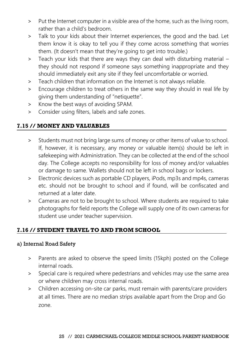- > Put the Internet computer in a visible area of the home, such as the living room, rather than a child's bedroom.
- > Talk to your kids about their Internet experiences, the good and the bad. Let them know it is okay to tell you if they come across something that worries them. (It doesn't mean that they're going to get into trouble.)
- > Teach your kids that there are ways they can deal with disturbing material they should not respond if someone says something inappropriate and they should immediately exit any site if they feel uncomfortable or worried.
- > Teach children that information on the Internet is not always reliable.
- > Encourage children to treat others in the same way they should in real life by giving them understanding of "netiquette".
- > Know the best ways of avoiding SPAM.
- > Consider using filters, labels and safe zones.

#### **7.15 // MONEY AND VALUABLES**

- > Students must not bring large sums of money or other items of value to school. If, however, it is necessary, any money or valuable item(s) should be left in safekeeping with Administration. They can be collected at the end of the school day. The College accepts no responsibility for loss of money and/or valuables or damage to same. Wallets should not be left in school bags or lockers.
- > Electronic devices such as portable CD players, iPods, mp3s and mp4s, cameras etc. should not be brought to school and if found, will be confiscated and returned at a later date.
- > Cameras are not to be brought to school. Where students are required to take photographs for field reports the College will supply one of its own cameras for student use under teacher supervision.

#### **7.16 // STUDENT TRAVEL TO AND FROM SCHOOL**

#### a) Internal Road Safety

- > Parents are asked to observe the speed limits (15kph) posted on the College internal roads.
- > Special care is required where pedestrians and vehicles may use the same area or where children may cross internal roads.
- > Children accessing on-site car parks, must remain with parents/care providers at all times. There are no median strips available apart from the Drop and Go zone.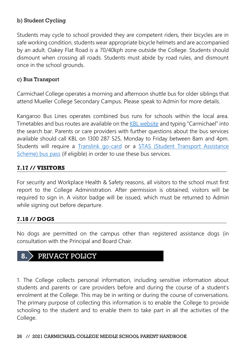#### b) Student Cycling

Students may cycle to school provided they are competent riders, their bicycles are in safe working condition, students wear appropriate bicycle helmets and are accompanied by an adult. Oakey Flat Road is a 70/40kph zone outside the College. Students should dismount when crossing all roads. Students must abide by road rules, and dismount once in the school grounds.

#### c) Bus Transport

Carmichael College operates a morning and afternoon shuttle bus for older siblings that attend Mueller College Secondary Campus. Please speak to Admin for more details.

Kangaroo Bus Lines operates combined bus runs for schools within the local area. Timetables and bus routes are available on the [KBL website](https://www.kangaroobuslines.com.au/our-services/schools-education/school-bus-timetables/) and typing "Carmichael" into the search bar. Parents or care providers with further questions about the bus services available should call KBL on 1300 287 525, Monday to Friday between 8am and 4pm. Students will require a [Translink go-card](https://translink.com.au/tickets-and-fares/go-card) or a [STAS \(Student Transport Assistance](https://translink.com.au/tickets-and-fares/concessions/school-students/school-transport-assistance)  [Scheme\) bus pass](https://translink.com.au/tickets-and-fares/concessions/school-students/school-transport-assistance) (if eligible) in order to use these bus services.

#### **7.17 // VISITORS**

For security and Workplace Health & Safety reasons, all visitors to the school must first report to the College Administration. After permission is obtained, visitors will be required to sign in. A visitor badge will be issued, which must be returned to Admin while signing out before departure.

#### **7.18 // DOGS**

No dogs are permitted on the campus other than registered assistance dogs (in consultation with the Principal and Board Chair.

# **8.** PRIVACY POLICY

1. The College collects personal information, including sensitive information about students and parents or care providers before and during the course of a student's enrolment at the College. This may be in writing or during the course of conversations. The primary purpose of collecting this information is to enable the College to provide schooling to the student and to enable them to take part in all the activities of the College.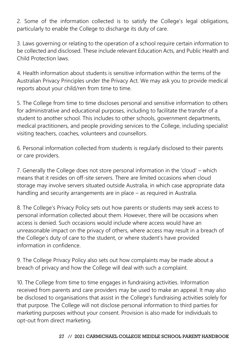2. Some of the information collected is to satisfy the College's legal obligations, particularly to enable the College to discharge its duty of care.

3. Laws governing or relating to the operation of a school require certain information to be collected and disclosed. These include relevant Education Acts, and Public Health and Child Protection laws.

4. Health information about students is sensitive information within the terms of the Australian Privacy Principles under the Privacy Act. We may ask you to provide medical reports about your child/ren from time to time.

5. The College from time to time discloses personal and sensitive information to others for administrative and educational purposes, including to facilitate the transfer of a student to another school. This includes to other schools, government departments, medical practitioners, and people providing services to the College, including specialist visiting teachers, coaches, volunteers and counsellors.

6. Personal information collected from students is regularly disclosed to their parents or care providers.

7. Generally the College does not store personal information in the 'cloud' – which means that it resides on off-site servers. There are limited occasions when cloud storage may involve servers situated outside Australia, in which case appropriate data handling and security arrangements are in place – as required in Australia.

8. The College's Privacy Policy sets out how parents or students may seek access to personal information collected about them. However, there will be occasions when access is denied. Such occasions would include where access would have an unreasonable impact on the privacy of others, where access may result in a breach of the College's duty of care to the student, or where student's have provided information in confidence.

9. The College Privacy Policy also sets out how complaints may be made about a breach of privacy and how the College will deal with such a complaint.

10. The College from time to time engages in fundraising activities. Information received from parents and care providers may be used to make an appeal. It may also be disclosed to organisations that assist in the College's fundraising activities solely for that purpose. The College will not disclose personal information to third parties for marketing purposes without your consent. Provision is also made for individuals to opt-out from direct marketing.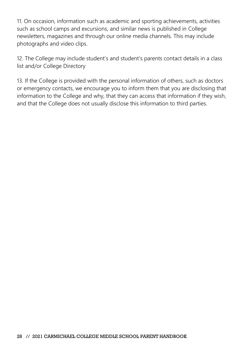11. On occasion, information such as academic and sporting achievements, activities such as school camps and excursions, and similar news is published in College newsletters, magazines and through our online media channels. This may include photographs and video clips.

12. The College may include student's and student's parents contact details in a class list and/or College Directory

13. If the College is provided with the personal information of others, such as doctors or emergency contacts, we encourage you to inform them that you are disclosing that information to the College and why, that they can access that information if they wish, and that the College does not usually disclose this information to third parties.